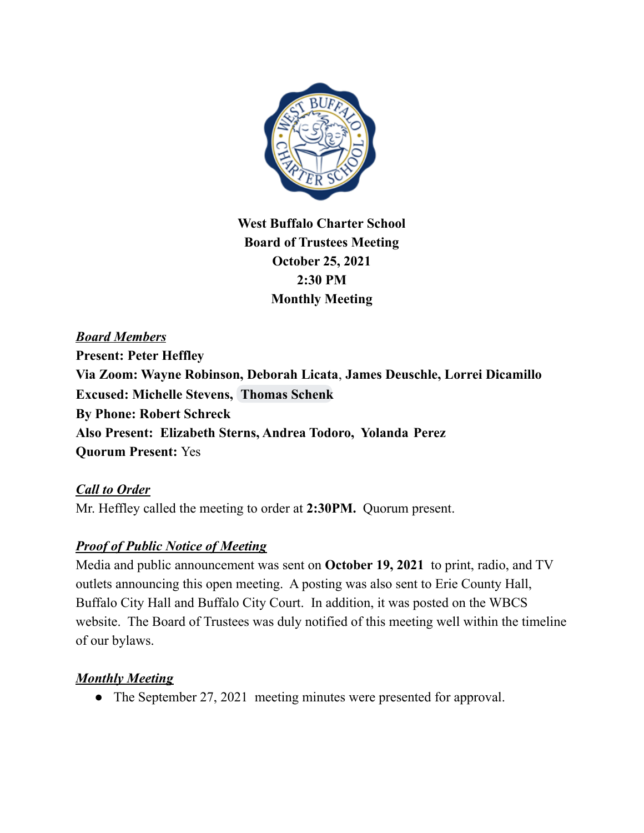

**West Buffalo Charter School Board of Trustees Meeting October 25, 2021 2:30 PM Monthly Meeting**

*Board Members* **Present: Peter Heffley Via Zoom: Wayne Robinson, Deborah Licata**, **James Deuschle, Lorrei Dicamillo Excused: Michelle Stevens, [Thomas](mailto:thomaseschenkmd@gmail.com) Schenk By Phone: Robert Schreck Also Present: Elizabeth Sterns, Andrea Todoro, Yolanda Perez Quorum Present:** Yes

*Call to Order* Mr. Heffley called the meeting to order at **2:30PM.** Quorum present.

## *Proof of Public Notice of Meeting*

Media and public announcement was sent on **October 19, 2021** to print, radio, and TV outlets announcing this open meeting. A posting was also sent to Erie County Hall, Buffalo City Hall and Buffalo City Court. In addition, it was posted on the WBCS website. The Board of Trustees was duly notified of this meeting well within the timeline of our bylaws.

# *Monthly Meeting*

• The September 27, 2021 meeting minutes were presented for approval.